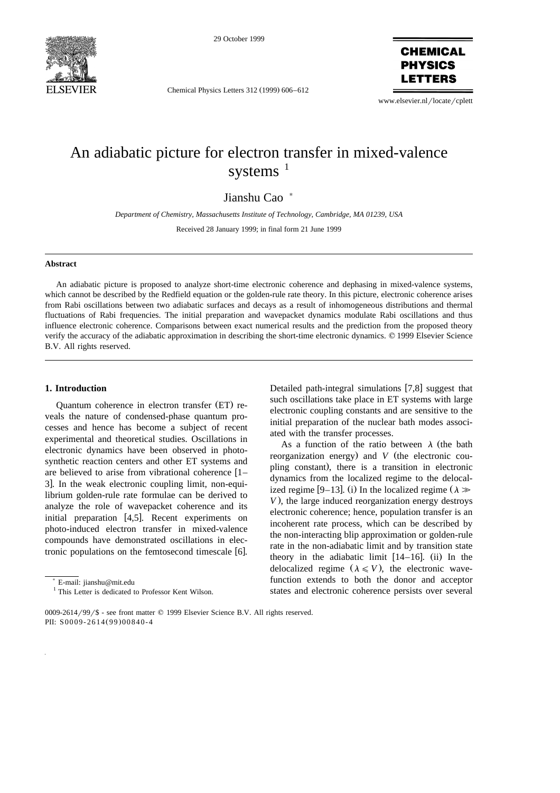

29 October 1999

Chemical Physics Letters 312 (1999) 606–612

**CHEMICAL PHYSICS LETTERS** 

www.elsevier.nl/locate/cplett

# An adiabatic picture for electron transfer in mixed-valence systems $1$

Jianshu Cao<sup>\*</sup>

*Department of Chemistry, Massachusetts Institute of Technology, Cambridge, MA 01239, USA*

Received 28 January 1999; in final form 21 June 1999

# **Abstract**

An adiabatic picture is proposed to analyze short-time electronic coherence and dephasing in mixed-valence systems, which cannot be described by the Redfield equation or the golden-rule rate theory. In this picture, electronic coherence arises from Rabi oscillations between two adiabatic surfaces and decays as a result of inhomogeneous distributions and thermal fluctuations of Rabi frequencies. The initial preparation and wavepacket dynamics modulate Rabi oscillations and thus influence electronic coherence. Comparisons between exact numerical results and the prediction from the proposed theory verify the accuracy of the adiabatic approximation in describing the short-time electronic dynamics. © 1999 Elsevier Science B.V. All rights reserved.

## **1. Introduction**

Quantum coherence in electron transfer (ET) reveals the nature of condensed-phase quantum processes and hence has become a subject of recent experimental and theoretical studies. Oscillations in electronic dynamics have been observed in photosynthetic reaction centers and other ET systems and are believed to arise from vibrational coherence  $[1 -$ 3. In the weak electronic coupling limit, non-equilibrium golden-rule rate formulae can be derived to analyze the role of wavepacket coherence and its initial preparation  $[4,5]$ . Recent experiments on photo-induced electron transfer in mixed-valence compounds have demonstrated oscillations in electronic populations on the femtosecond timescale [6].

Detailed path-integral simulations [7,8] suggest that such oscillations take place in ET systems with large electronic coupling constants and are sensitive to the initial preparation of the nuclear bath modes associated with the transfer processes.

As a function of the ratio between  $\lambda$  (the bath reorganization energy) and  $V$  (the electronic coupling constant), there is a transition in electronic dynamics from the localized regime to the delocalized regime [9–13]. (i) In the localized regime ( $\lambda \gg$ *V*), the large induced reorganization energy destroys electronic coherence; hence, population transfer is an incoherent rate process, which can be described by the non-interacting blip approximation or golden-rule rate in the non-adiabatic limit and by transition state theory in the adiabatic limit  $[14–16]$ . (ii) In the delocalized regime  $(\lambda \leq V)$ , the electronic wavefunction extends to both the donor and acceptor states and electronic coherence persists over several

<sup>)</sup> E-mail: jianshu@mit.edu

<sup>&</sup>lt;sup>1</sup> This Letter is dedicated to Professor Kent Wilson.

<sup>0009-2614/99/\$ -</sup> see front matter © 1999 Elsevier Science B.V. All rights reserved. PII: S0009-2614(99)00840-4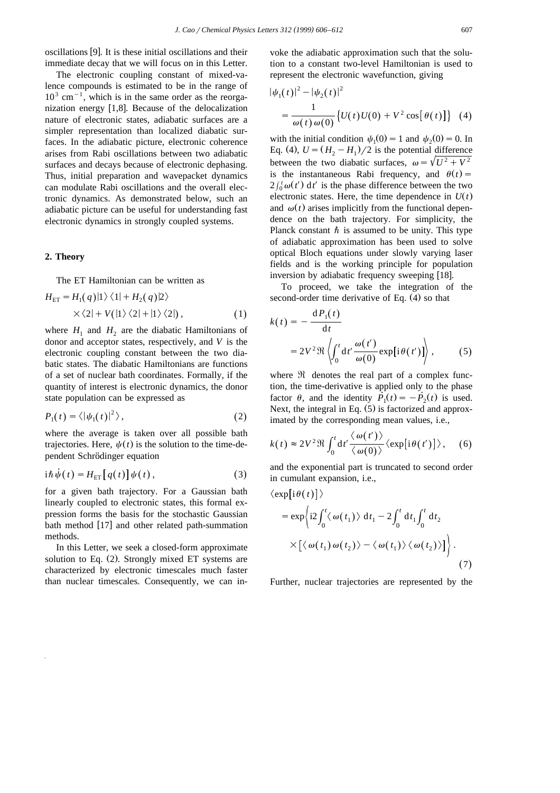oscillations [9]. It is these initial oscillations and their immediate decay that we will focus on in this Letter.

The electronic coupling constant of mixed-valence compounds is estimated to be in the range of  $10^3$  cm<sup>-1</sup>, which is in the same order as the reorganization energy  $[1,8]$ . Because of the delocalization nature of electronic states, adiabatic surfaces are a simpler representation than localized diabatic surfaces. In the adiabatic picture, electronic coherence arises from Rabi oscillations between two adiabatic surfaces and decays because of electronic dephasing. Thus, initial preparation and wavepacket dynamics can modulate Rabi oscillations and the overall electronic dynamics. As demonstrated below, such an adiabatic picture can be useful for understanding fast electronic dynamics in strongly coupled systems.

## **2. Theory**

The ET Hamiltonian can be written as

$$
H_{\text{ET}} = H_1(q) \left| 1 \right\rangle \left\langle 1 \right| + H_2(q) \left| 2 \right\rangle
$$
  
 
$$
\times \left\langle 2 \right| + V\left( \left| 1 \right\rangle \left\langle 2 \right| + \left| 1 \right\rangle \left\langle 2 \right| \right), \tag{1}
$$

where  $H_1$  and  $H_2$  are the diabatic Hamiltonians of donor and acceptor states, respectively, and *V* is the electronic coupling constant between the two diabatic states. The diabatic Hamiltonians are functions of a set of nuclear bath coordinates. Formally, if the quantity of interest is electronic dynamics, the donor state population can be expressed as

$$
P_1(t) = \langle |\psi_1(t)|^2 \rangle, \tag{2}
$$

where the average is taken over all possible bath trajectories. Here,  $\psi(t)$  is the solution to the time-dependent Schrödinger equation

$$
i\hbar\dot{\psi}(t) = H_{\rm ET}\big[q(t)\big]\psi(t)\,,\tag{3}
$$

for a given bath trajectory. For a Gaussian bath linearly coupled to electronic states, this formal expression forms the basis for the stochastic Gaussian bath method [17] and other related path-summation methods.

In this Letter, we seek a closed-form approximate solution to Eq.  $(2)$ . Strongly mixed ET systems are characterized by electronic timescales much faster than nuclear timescales. Consequently, we can invoke the adiabatic approximation such that the solution to a constant two-level Hamiltonian is used to represent the electronic wavefunction, giving

$$
|\psi_1(t)|^2 - |\psi_2(t)|^2
$$
  
=  $\frac{1}{\omega(t)\omega(0)} \{U(t)U(0) + V^2 \cos[\theta(t)]\}$  (4)

with the initial condition  $\psi_1(0) = 1$  and  $\psi_2(0) = 0$ . In Eq. (4),  $U = (H_2 - H_1)/2$  is the potential difference between the two diabatic surfaces,  $\omega = \sqrt{U^2 + V^2}$ is the instantaneous Rabi frequency, and  $\theta(t)$  =  $2 \int_0^t \omega(t') dt'$  is the phase difference between the two electronic states. Here, the time dependence in  $U(t)$ and  $\omega(t)$  arises implicitly from the functional dependence on the bath trajectory. For simplicity, the Planck constant  $\hbar$  is assumed to be unity. This type of adiabatic approximation has been used to solve optical Bloch equations under slowly varying laser fields and is the working principle for population inversion by adiabatic frequency sweeping [18].

To proceed, we take the integration of the second-order time derivative of Eq.  $(4)$  so that

$$
k(t) = -\frac{dP_1(t)}{dt}
$$
  
=  $2V^2 \Re \left\langle \int_0^t dt' \frac{\omega(t')}{\omega(0)} \exp[i\theta(t')] \right\rangle$ , (5)

where  $\Re$  denotes the real part of a complex function, the time-derivative is applied only to the phase factor  $\theta$ , and the identity  $\dot{P}_1(t) = -\dot{P}_2(t)$  is used. Next, the integral in Eq.  $(5)$  is factorized and approximated by the corresponding mean values, i.e.,

$$
k(t) \approx 2V^2 \Re \int_0^t dt' \frac{\langle \omega(t') \rangle}{\langle \omega(0) \rangle} \langle \exp[i\theta(t')] \rangle, \quad (6)
$$

and the exponential part is truncated to second order in cumulant expansion, i.e.,

$$
\langle \exp[i\theta(t)] \rangle
$$
  
=  $\exp\left\{i2\int_0^t \langle \omega(t_1) \rangle dt_1 - 2\int_0^t dt_1 \int_0^t dt_2$   
 $\times \left[ \langle \omega(t_1) \omega(t_2) \rangle - \langle \omega(t_1) \rangle \langle \omega(t_2) \rangle \right] \right\}.$  (7)

Further, nuclear trajectories are represented by the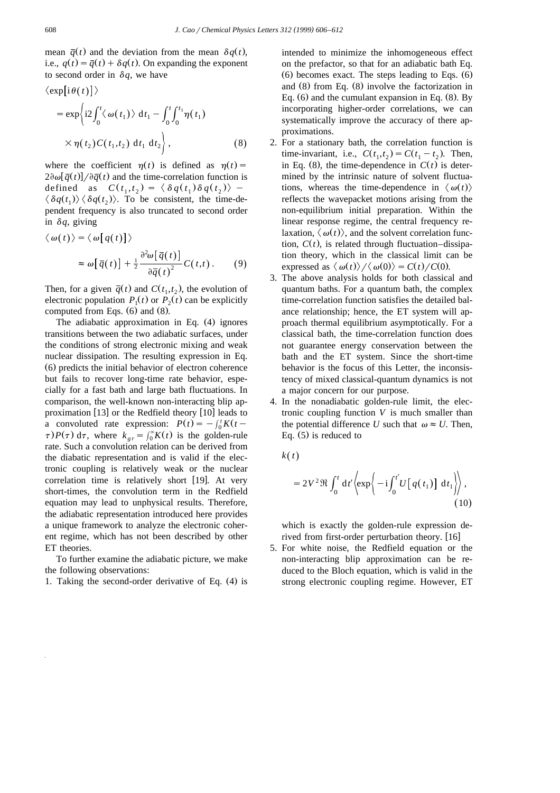mean  $\bar{q}(t)$  and the deviation from the mean  $\delta q(t)$ , i.e.,  $q(t) = \overline{q}(t) + \delta q(t)$ . On expanding the exponent to second order in  $\delta q$ , we have

$$
\langle \exp[i\theta(t)] \rangle
$$
  
=  $\exp \left\{ i2 \int_0^t \langle \omega(t_1) \rangle dt_1 - \int_0^t \int_0^{t_1} \eta(t_1) \right\}$   
 $\times \eta(t_2) C(t_1, t_2) dt_1 dt_2$ , (8)

where the coefficient  $\eta(t)$  is defined as  $\eta(t)$  =  $2\partial\omega[\bar{q}(t)]/\partial\bar{q}(t)$  and the time-correlation function is defined as  $C(t_1, t_2) = \langle \delta q(t_1) \delta q(t_2) \rangle$  –  $\langle \delta q(t_1) \rangle \langle \delta q(t_2) \rangle$ . To be consistent, the time-dependent frequency is also truncated to second order in  $\delta q$ , giving

$$
\langle \omega(t) \rangle = \langle \omega \big[ q(t) \big] \rangle
$$
  

$$
\approx \omega \big[ \overline{q}(t) \big] + \frac{1}{2} \frac{\partial^2 \omega \big[ \overline{q}(t) \big]}{\partial \overline{q}(t)^2} C(t, t). \qquad (9)
$$

Then, for a given  $\overline{q}(t)$  and  $C(t_1, t_2)$ , the evolution of electronic population  $P_1(t)$  or  $P_2(t)$  can be explicitly computed from Eqs.  $(6)$  and  $(8)$ .

The adiabatic approximation in Eq.  $(4)$  ignores transitions between the two adiabatic surfaces, under the conditions of strong electronic mixing and weak nuclear dissipation. The resulting expression in Eq.  $(6)$  predicts the initial behavior of electron coherence but fails to recover long-time rate behavior, especially for a fast bath and large bath fluctuations. In comparison, the well-known non-interacting blip approximation  $[13]$  or the Redfield theory  $[10]$  leads to a convoluted rate expression:  $P(t) = -\int_0^t K(t \tau$ )  $P(\tau)$  d $\tau$ , where  $k_{\rho r} = \int_{0}^{\infty} K(t)$  is the golden-rule rate. Such a convolution relation can be derived from the diabatic representation and is valid if the electronic coupling is relatively weak or the nuclear correlation time is relatively short  $[19]$ . At very short-times, the convolution term in the Redfield equation may lead to unphysical results. Therefore, the adiabatic representation introduced here provides a unique framework to analyze the electronic coherent regime, which has not been described by other ET theories.

To further examine the adiabatic picture, we make the following observations:

1. Taking the second-order derivative of Eq.  $(4)$  is

intended to minimize the inhomogeneous effect on the prefactor, so that for an adiabatic bath Eq.  $(6)$  becomes exact. The steps leading to Eqs.  $(6)$ and  $(8)$  from Eq.  $(8)$  involve the factorization in Eq.  $(6)$  and the cumulant expansion in Eq.  $(8)$ . By incorporating higher-order correlations, we can systematically improve the accuracy of there approximations.

- 2. For a stationary bath, the correlation function is time-invariant, i.e.,  $C(t_1, t_2) = C(t_1 - t_2)$ . Then, in Eq.  $(8)$ , the time-dependence in  $C(t)$  is determined by the intrinsic nature of solvent fluctuations, whereas the time-dependence in  $\langle \omega(t) \rangle$ reflects the wavepacket motions arising from the non-equilibrium initial preparation. Within the linear response regime, the central frequency relaxation,  $\langle \omega(t) \rangle$ , and the solvent correlation function,  $C(t)$ , is related through fluctuation–dissipation theory, which in the classical limit can be expressed as  $\langle \omega(t) \rangle / \langle \omega(0) \rangle = C(t) / C(0)$ .
- 3. The above analysis holds for both classical and quantum baths. For a quantum bath, the complex time-correlation function satisfies the detailed balance relationship; hence, the ET system will approach thermal equilibrium asymptotically. For a classical bath, the time-correlation function does not guarantee energy conservation between the bath and the ET system. Since the short-time behavior is the focus of this Letter, the inconsistency of mixed classical-quantum dynamics is not a major concern for our purpose.
- 4. In the nonadiabatic golden-rule limit, the electronic coupling function *V* is much smaller than the potential difference *U* such that  $\omega \approx U$ . Then, Eq.  $(5)$  is reduced to

$$
k(t)
$$

$$
=2V^{2}\Re\int_{0}^{t}dt'\left\langle \exp\left\{-i\int_{0}^{t'}U\left[q(t_{1})\right]dt_{1}\right\} \right\rangle, \tag{10}
$$

which is exactly the golden-rule expression derived from first-order perturbation theory. [16]

5. For white noise, the Redfield equation or the non-interacting blip approximation can be reduced to the Bloch equation, which is valid in the strong electronic coupling regime. However, ET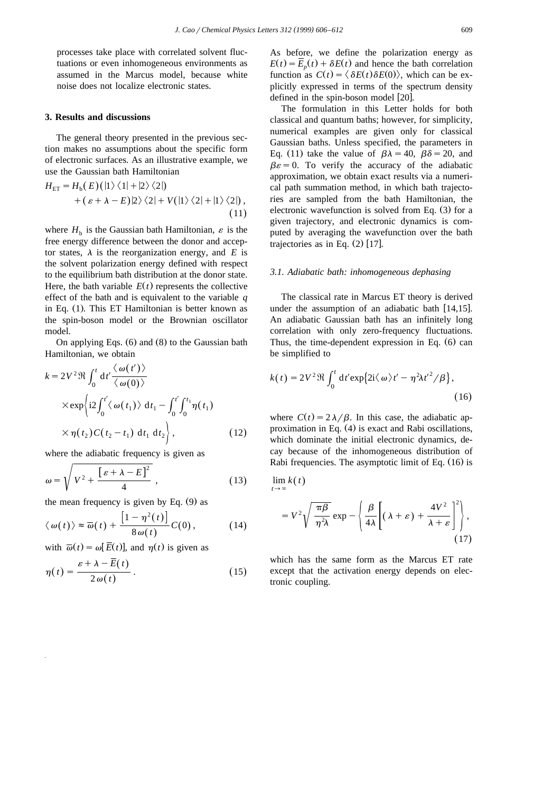processes take place with correlated solvent fluctuations or even inhomogeneous environments as assumed in the Marcus model, because white noise does not localize electronic states.

## **3. Results and discussions**

The general theory presented in the previous section makes no assumptions about the specific form of electronic surfaces. As an illustrative example, we use the Gaussian bath Hamiltonian

$$
H_{\text{ET}} = H_{\text{b}}(E)(|1\rangle\langle 1| + |2\rangle\langle 2|)
$$
  
+  $(\varepsilon + \lambda - E)|2\rangle\langle 2| + V(|1\rangle\langle 2| + |1\rangle\langle 2|),$   
(11)

where  $H<sub>b</sub>$  is the Gaussian bath Hamiltonian,  $\varepsilon$  is the free energy difference between the donor and acceptor states,  $\lambda$  is the reorganization energy, and *E* is the solvent polarization energy defined with respect to the equilibrium bath distribution at the donor state. Here, the bath variable  $E(t)$  represents the collective effect of the bath and is equivalent to the variable *q* in Eq. (1). This ET Hamiltonian is better known as the spin-boson model or the Brownian oscillator model.

On applying Eqs.  $(6)$  and  $(8)$  to the Gaussian bath Hamiltonian, we obtain

$$
k = 2V^2 \Re \int_0^t dt' \frac{\langle \omega(t') \rangle}{\langle \omega(0) \rangle}
$$
  
 
$$
\times \exp \left\{ i2 \int_0^{t'} \langle \omega(t_1) \rangle dt_1 - \int_0^{t'} \int_0^{t_1} \eta(t_1) \right\}
$$
  
 
$$
\times \eta(t_2) C(t_2 - t_1) dt_1 dt_2 \bigg\},
$$
 (12)

where the adiabatic frequency is given as

$$
\omega = \sqrt{V^2 + \frac{\left[\varepsilon + \lambda - E\right]^2}{4}} \,,\tag{13}
$$

the mean frequency is given by Eq.  $(9)$  as

$$
\langle \omega(t) \rangle \approx \overline{\omega}(t) + \frac{\left[1 - \eta^2(t)\right]}{8\omega(t)} C(0), \qquad (14)
$$

with  $\overline{\omega}(t) = \omega[\overline{E}(t)],$  and  $\eta(t)$  is given as

$$
\eta(t) = \frac{\varepsilon + \lambda - \overline{E}(t)}{2 \omega(t)}.
$$
\n(15)

As before, we define the polarization energy as  $E(t) = \overline{E}_n(t) + \delta E(t)$  and hence the bath correlation function as  $C(t) = \langle \delta E(t) \delta E(0) \rangle$ , which can be explicitly expressed in terms of the spectrum density defined in the spin-boson model  $[20]$ .

The formulation in this Letter holds for both classical and quantum baths; however, for simplicity, numerical examples are given only for classical Gaussian baths. Unless specified, the parameters in Eq. (11) take the value of  $\beta \lambda = 40$ ,  $\beta \delta = 20$ , and  $\beta \varepsilon = 0$ . To verify the accuracy of the adiabatic approximation, we obtain exact results via a numerical path summation method, in which bath trajectories are sampled from the bath Hamiltonian, the electronic wavefunction is solved from Eq.  $(3)$  for a given trajectory, and electronic dynamics is computed by averaging the wavefunction over the bath trajectories as in Eq.  $(2)$  [17].

#### *3.1. Adiabatic bath: inhomogeneous dephasing*

The classical rate in Marcus ET theory is derived under the assumption of an adiabatic bath  $[14,15]$ . An adiabatic Gaussian bath has an infinitely long correlation with only zero-frequency fluctuations. Thus, the time-dependent expression in Eq.  $(6)$  can be simplified to

$$
k(t) = 2V^2 \Re \int_0^t dt' \exp\{2i\langle \omega \rangle t' - \eta^2 \lambda t'^2 / \beta\},\tag{16}
$$

where  $C(t) = 2\lambda/\beta$ . In this case, the adiabatic approximation in Eq.  $(4)$  is exact and Rabi oscillations, which dominate the initial electronic dynamics, decay because of the inhomogeneous distribution of Rabi frequencies. The asymptotic limit of Eq.  $(16)$  is

$$
\lim_{t\to\infty}k(t)
$$

$$
=V^{2}\sqrt{\frac{\pi\beta}{\eta^{2}\lambda}}\exp-\left\{\frac{\beta}{4\lambda}\left[(\lambda+\varepsilon)+\frac{4V^{2}}{\lambda+\varepsilon}\right]^{2}\right\},\tag{17}
$$

which has the same form as the Marcus ET rate except that the activation energy depends on electronic coupling.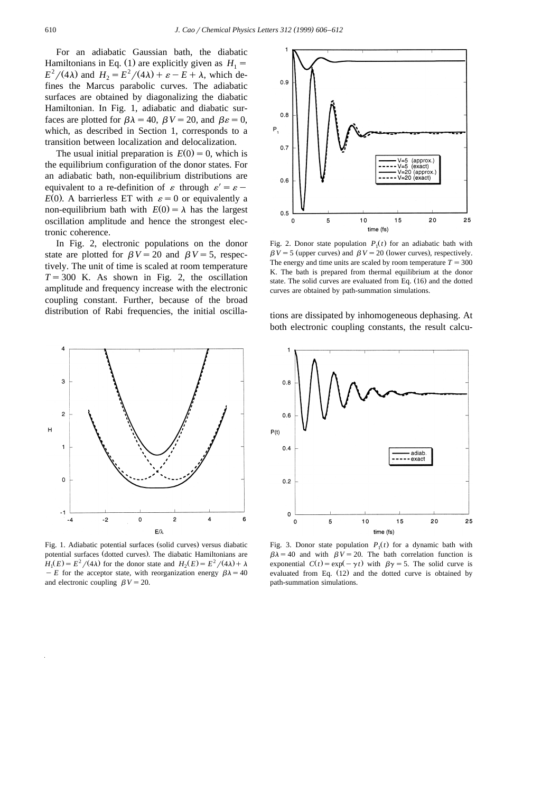For an adiabatic Gaussian bath, the diabatic Hamiltonians in Eq. (1) are explicitly given as  $H_1 = E^2/(4\lambda)$  and  $H_2 = E^2/(4\lambda) + \varepsilon - E + \lambda$ , which defines the Marcus parabolic curves. The adiabatic surfaces are obtained by diagonalizing the diabatic Hamiltonian. In Fig. 1, adiabatic and diabatic surfaces are plotted for  $\beta \lambda = 40$ ,  $\beta V = 20$ , and  $\beta \varepsilon = 0$ , which, as described in Section 1, corresponds to a transition between localization and delocalization.

The usual initial preparation is  $E(0) = 0$ , which is the equilibrium configuration of the donor states. For an adiabatic bath, non-equilibrium distributions are equivalent to a re-definition of  $\varepsilon$  through  $\varepsilon' = \varepsilon$  - $E(0)$ . A barrierless ET with  $\varepsilon=0$  or equivalently a non-equilibrium bath with  $E(0) = \lambda$  has the largest oscillation amplitude and hence the strongest electronic coherence.

In Fig. 2, electronic populations on the donor state are plotted for  $\beta V = 20$  and  $\beta V = 5$ , respectively. The unit of time is scaled at room temperature  $T = 300$  K. As shown in Fig. 2, the oscillation amplitude and frequency increase with the electronic coupling constant. Further, because of the broad distribution of Rabi frequencies, the initial oscilla-



Fig. 2. Donor state population  $P_1(t)$  for an adiabatic bath with  $\beta V = 5$  (upper curves) and  $\beta V = 20$  (lower curves), respectively. The energy and time units are scaled by room temperature  $T = 300$ K. The bath is prepared from thermal equilibrium at the donor state. The solid curves are evaluated from Eq.  $(16)$  and the dotted curves are obtained by path-summation simulations.



Fig. 1. Adiabatic potential surfaces (solid curves) versus diabatic potential surfaces (dotted curves). The diabatic Hamiltonians are  $H_1(E) = E^2/(4\lambda)$  for the donor state and  $H_2(E) = E^2/(4\lambda) + \lambda$  $-E$  for the acceptor state, with reorganization energy  $\beta \lambda = 40$ and electronic coupling  $\beta V = 20$ .

tions are dissipated by inhomogeneous dephasing. At both electronic coupling constants, the result calcu-



Fig. 3. Donor state population  $P_1(t)$  for a dynamic bath with  $\beta \lambda = 40$  and with  $\beta V = 20$ . The bath correlation function is exponential  $C(t) = \exp(-\gamma t)$  with  $\beta \gamma = 5$ . The solid curve is evaluated from Eq.  $(12)$  and the dotted curve is obtained by path-summation simulations.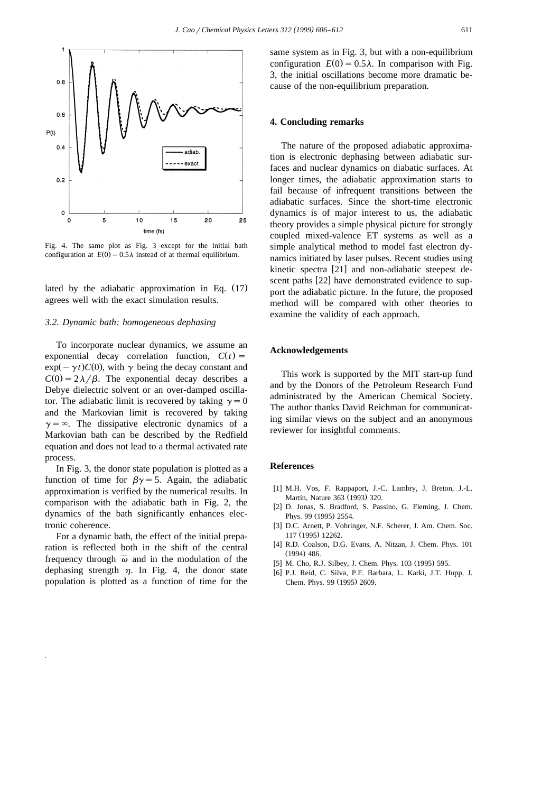

Fig. 4. The same plot as Fig. 3 except for the initial bath configuration at  $E(0) = 0.5\lambda$  instead of at thermal equilibrium.

lated by the adiabatic approximation in Eq.  $(17)$ agrees well with the exact simulation results.

## *3.2. Dynamic bath: homogeneous dephasing*

To incorporate nuclear dynamics, we assume an exponential decay correlation function,  $C(t)$  =  $\exp(-\gamma t)C(0)$ , with  $\gamma$  being the decay constant and  $C(0) = 2\lambda/\beta$ . The exponential decay describes a Debye dielectric solvent or an over-damped oscillator. The adiabatic limit is recovered by taking  $\gamma=0$ and the Markovian limit is recovered by taking  $\gamma = \infty$ . The dissipative electronic dynamics of a Markovian bath can be described by the Redfield equation and does not lead to a thermal activated rate process.

In Fig. 3, the donor state population is plotted as a function of time for  $\beta\gamma=5$ . Again, the adiabatic approximation is verified by the numerical results. In comparison with the adiabatic bath in Fig. 2, the dynamics of the bath significantly enhances electronic coherence.

For a dynamic bath, the effect of the initial preparation is reflected both in the shift of the central frequency through  $\overline{\omega}$  and in the modulation of the dephasing strength  $\eta$ . In Fig. 4, the donor state population is plotted as a function of time for the same system as in Fig. 3, but with a non-equilibrium configuration  $E(0) = 0.5\lambda$ . In comparison with Fig. 3, the initial oscillations become more dramatic because of the non-equilibrium preparation.

# **4. Concluding remarks**

The nature of the proposed adiabatic approximation is electronic dephasing between adiabatic surfaces and nuclear dynamics on diabatic surfaces. At longer times, the adiabatic approximation starts to fail because of infrequent transitions between the adiabatic surfaces. Since the short-time electronic dynamics is of major interest to us, the adiabatic theory provides a simple physical picture for strongly coupled mixed-valence ET systems as well as a simple analytical method to model fast electron dynamics initiated by laser pulses. Recent studies using kinetic spectra  $[21]$  and non-adiabatic steepest descent paths [22] have demonstrated evidence to support the adiabatic picture. In the future, the proposed method will be compared with other theories to examine the validity of each approach.

## **Acknowledgements**

This work is supported by the MIT start-up fund and by the Donors of the Petroleum Research Fund administrated by the American Chemical Society. The author thanks David Reichman for communicating similar views on the subject and an anonymous reviewer for insightful comments.

## **References**

- [1] M.H. Vos, F. Rappaport, J.-C. Lambry, J. Breton, J.-L. Martin, Nature 363 (1993) 320.
- [2] D. Jonas, S. Bradford, S. Passino, G. Fleming, J. Chem. Phys. 99 (1995) 2554.
- [3] D.C. Arnett, P. Vohringer, N.F. Scherer, J. Am. Chem. Soc. 117 (1995) 12262.
- [4] R.D. Coalson, D.G. Evans, A. Nitzan, J. Chem. Phys. 101  $(1994)$  486.
- [5] M. Cho, R.J. Silbey, J. Chem. Phys. 103 (1995) 595.
- w x 6 P.J. Reid, C. Silva, P.F. Barbara, L. Karki, J.T. Hupp, J. Chem. Phys. 99 (1995) 2609.